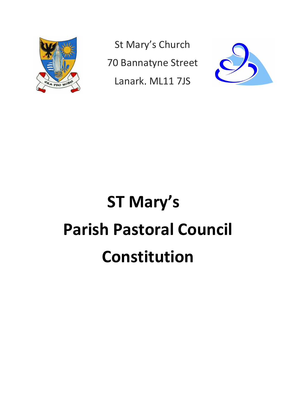

St Mary's Church 70 Bannatyne Street Lanark, ML11 7JS



# ST Mary's Parish Pastoral Council Constitution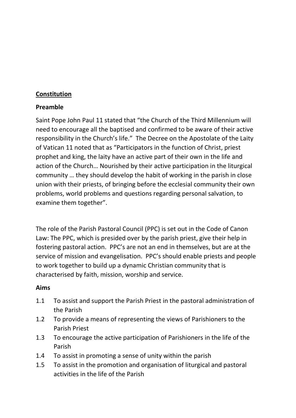#### Constitution

#### Preamble

Saint Pope John Paul 11 stated that "the Church of the Third Millennium will need to encourage all the baptised and confirmed to be aware of their active responsibility in the Church's life." The Decree on the Apostolate of the Laity of Vatican 11 noted that as "Participators in the function of Christ, priest prophet and king, the laity have an active part of their own in the life and action of the Church… Nourished by their active participation in the liturgical community … they should develop the habit of working in the parish in close union with their priests, of bringing before the ecclesial community their own problems, world problems and questions regarding personal salvation, to examine them together".

The role of the Parish Pastoral Council (PPC) is set out in the Code of Canon Law: The PPC, which is presided over by the parish priest, give their help in fostering pastoral action. PPC's are not an end in themselves, but are at the service of mission and evangelisation. PPC's should enable priests and people to work together to build up a dynamic Christian community that is characterised by faith, mission, worship and service.

#### Aims

- 1.1 To assist and support the Parish Priest in the pastoral administration of the Parish
- 1.2 To provide a means of representing the views of Parishioners to the Parish Priest
- 1.3 To encourage the active participation of Parishioners in the life of the Parish
- 1.4 To assist in promoting a sense of unity within the parish
- 1.5 To assist in the promotion and organisation of liturgical and pastoral activities in the life of the Parish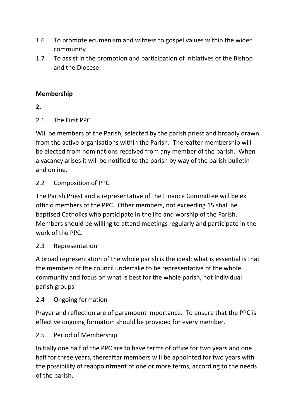- 1.6 To promote ecumenism and witness to gospel values within the wider community
- 1.7 To assist in the promotion and participation of initiatives of the Bishop and the Diocese.

### Membership

2.

#### 2.1 The First PPC

Will be members of the Parish, selected by the parish priest and broadly drawn from the active organisations within the Parish. Thereafter membership will be elected from nominations received from any member of the parish. When a vacancy arises it will be notified to the parish by way of the parish bulletin and online.

#### 2.2 Composition of PPC

The Parish Priest and a representative of the Finance Committee will be ex officio members of the PPC. Other members, not exceeding 15 shall be baptised Catholics who participate in the life and worship of the Parish. Members should be willing to attend meetings regularly and participate in the work of the PPC.

#### 2.3 Representation

A broad representation of the whole parish is the ideal; what is essential is that the members of the council undertake to be representative of the whole community and focus on what is best for the whole parish, not individual parish groups.

#### 2.4 Ongoing formation

Prayer and reflection are of paramount importance. To ensure that the PPC is effective ongoing formation should be provided for every member.

## 2.5 Period of Membership

Initially one half of the PPC are to have terms of office for two years and one half for three years, thereafter members will be appointed for two years with the possibility of reappointment of one or more terms, according to the needs of the parish.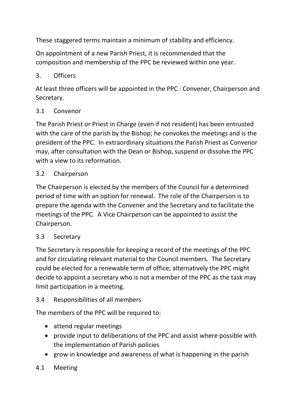These staggered terms maintain a minimum of stability and efficiency.

On appointment of a new Parish Priest, it is recommended that the composition and membership of the PPC be reviewed within one year.

## 3. Officers

At least three officers will be appointed in the PPC : Convener, Chairperson and Secretary.

#### 3.1 Convenor

The Parish Priest or Priest in Charge (even if not resident) has been entrusted with the care of the parish by the Bishop; he convokes the meetings and is the president of the PPC. In extraordinary situations the Parish Priest as Convenor may, after consultation with the Dean or Bishop, suspend or dissolve the PPC with a view to its reformation.

#### 3.2 Chairperson

The Chairperson is elected by the members of the Council for a determined period of time with an option for renewal. The role of the Chairperson is to prepare the agenda with the Convener and the Secretary and to facilitate the meetings of the PPC. A Vice Chairperson can be appointed to assist the Chairperson.

#### 3.3 Secretary

The Secretary is responsible for keeping a record of the meetings of the PPC and for circulating relevant material to the Council members. The Secretary could be elected for a renewable term of office; alternatively the PPC might decide to appoint a secretary who is not a member of the PPC as the task may limit participation in a meeting.

## 3.4 Responsibilities of all members

The members of the PPC will be required to:

- attend regular meetings
- provide input to deliberations of the PPC and assist where possible with the implementation of Parish policies
- grow in knowledge and awareness of what is happening in the parish

## 4.1 Meeting